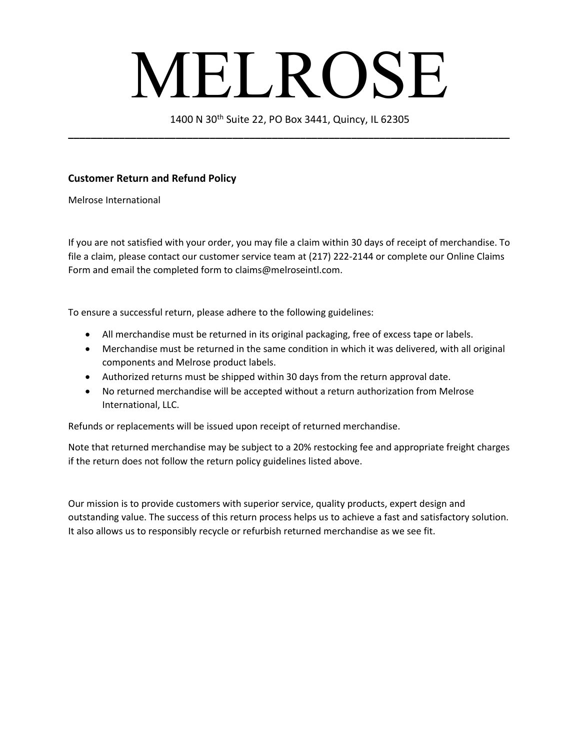## MELROSE

1400 N 30th Suite 22, PO Box 3441, Quincy, IL 62305 **\_\_\_\_\_\_\_\_\_\_\_\_\_\_\_\_\_\_\_\_\_\_\_\_\_\_\_\_\_\_\_\_\_\_\_\_\_\_\_\_\_\_\_\_\_\_\_\_\_\_\_\_\_\_\_\_\_\_\_\_\_\_\_\_\_\_\_\_\_\_\_\_\_\_\_\_\_\_**

## **Customer Return and Refund Policy**

Melrose International

If you are not satisfied with your order, you may file a claim within 30 days of receipt of merchandise. To file a claim, please contact our customer service team at (217) 222-2144 or complete our Online Claims Form and email the completed form to claims@melroseintl.com.

To ensure a successful return, please adhere to the following guidelines:

- All merchandise must be returned in its original packaging, free of excess tape or labels.
- Merchandise must be returned in the same condition in which it was delivered, with all original components and Melrose product labels.
- Authorized returns must be shipped within 30 days from the return approval date.
- No returned merchandise will be accepted without a return authorization from Melrose International, LLC.

Refunds or replacements will be issued upon receipt of returned merchandise.

Note that returned merchandise may be subject to a 20% restocking fee and appropriate freight charges if the return does not follow the return policy guidelines listed above.

Our mission is to provide customers with superior service, quality products, expert design and outstanding value. The success of this return process helps us to achieve a fast and satisfactory solution. It also allows us to responsibly recycle or refurbish returned merchandise as we see fit.